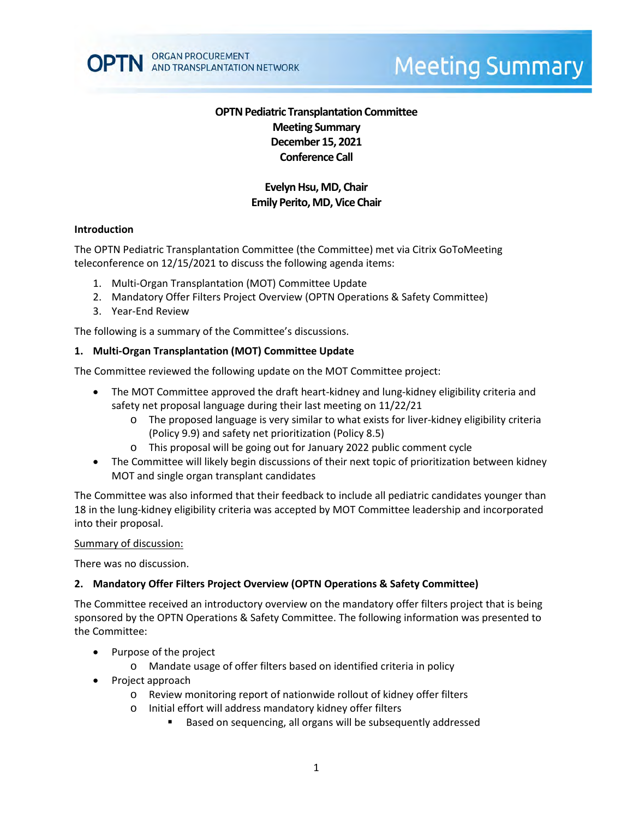

# **Meeting Summary**

# **OPTN Pediatric Transplantation Committee Meeting Summary December 15, 2021 Conference Call**

# **Evelyn Hsu, MD, Chair Emily Perito, MD, Vice Chair**

#### **Introduction**

The OPTN Pediatric Transplantation Committee (the Committee) met via Citrix GoToMeeting teleconference on 12/15/2021 to discuss the following agenda items:

- 1. Multi-Organ Transplantation (MOT) Committee Update
- 2. Mandatory Offer Filters Project Overview (OPTN Operations & Safety Committee)
- 3. Year-End Review

The following is a summary of the Committee's discussions.

#### **1. Multi-Organ Transplantation (MOT) Committee Update**

The Committee reviewed the following update on the MOT Committee project:

- The MOT Committee approved the draft heart-kidney and lung-kidney eligibility criteria and safety net proposal language during their last meeting on 11/22/21
	- o The proposed language is very similar to what exists for liver-kidney eligibility criteria (Policy 9.9) and safety net prioritization (Policy 8.5)
	- o This proposal will be going out for January 2022 public comment cycle
- The Committee will likely begin discussions of their next topic of prioritization between kidney MOT and single organ transplant candidates

The Committee was also informed that their feedback to include all pediatric candidates younger than 18 in the lung-kidney eligibility criteria was accepted by MOT Committee leadership and incorporated into their proposal.

#### Summary of discussion:

There was no discussion.

#### **2. Mandatory Offer Filters Project Overview (OPTN Operations & Safety Committee)**

The Committee received an introductory overview on the mandatory offer filters project that is being sponsored by the OPTN Operations & Safety Committee. The following information was presented to the Committee:

- Purpose of the project
	- o Mandate usage of offer filters based on identified criteria in policy
- Project approach
	- o Review monitoring report of nationwide rollout of kidney offer filters
	- o Initial effort will address mandatory kidney offer filters
		- Based on sequencing, all organs will be subsequently addressed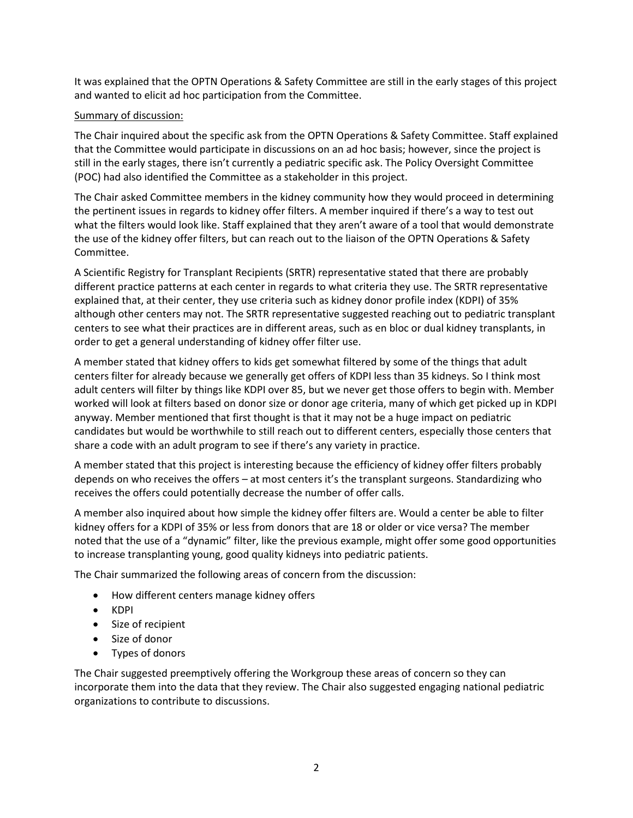It was explained that the OPTN Operations & Safety Committee are still in the early stages of this project and wanted to elicit ad hoc participation from the Committee.

### Summary of discussion:

The Chair inquired about the specific ask from the OPTN Operations & Safety Committee. Staff explained that the Committee would participate in discussions on an ad hoc basis; however, since the project is still in the early stages, there isn't currently a pediatric specific ask. The Policy Oversight Committee (POC) had also identified the Committee as a stakeholder in this project.

The Chair asked Committee members in the kidney community how they would proceed in determining the pertinent issues in regards to kidney offer filters. A member inquired if there's a way to test out what the filters would look like. Staff explained that they aren't aware of a tool that would demonstrate the use of the kidney offer filters, but can reach out to the liaison of the OPTN Operations & Safety Committee.

A Scientific Registry for Transplant Recipients (SRTR) representative stated that there are probably different practice patterns at each center in regards to what criteria they use. The SRTR representative explained that, at their center, they use criteria such as kidney donor profile index (KDPI) of 35% although other centers may not. The SRTR representative suggested reaching out to pediatric transplant centers to see what their practices are in different areas, such as en bloc or dual kidney transplants, in order to get a general understanding of kidney offer filter use.

A member stated that kidney offers to kids get somewhat filtered by some of the things that adult centers filter for already because we generally get offers of KDPI less than 35 kidneys. So I think most adult centers will filter by things like KDPI over 85, but we never get those offers to begin with. Member worked will look at filters based on donor size or donor age criteria, many of which get picked up in KDPI anyway. Member mentioned that first thought is that it may not be a huge impact on pediatric candidates but would be worthwhile to still reach out to different centers, especially those centers that share a code with an adult program to see if there's any variety in practice.

A member stated that this project is interesting because the efficiency of kidney offer filters probably depends on who receives the offers – at most centers it's the transplant surgeons. Standardizing who receives the offers could potentially decrease the number of offer calls.

A member also inquired about how simple the kidney offer filters are. Would a center be able to filter kidney offers for a KDPI of 35% or less from donors that are 18 or older or vice versa? The member noted that the use of a "dynamic" filter, like the previous example, might offer some good opportunities to increase transplanting young, good quality kidneys into pediatric patients.

The Chair summarized the following areas of concern from the discussion:

- How different centers manage kidney offers
- KDPI
- Size of recipient
- Size of donor
- Types of donors

The Chair suggested preemptively offering the Workgroup these areas of concern so they can incorporate them into the data that they review. The Chair also suggested engaging national pediatric organizations to contribute to discussions.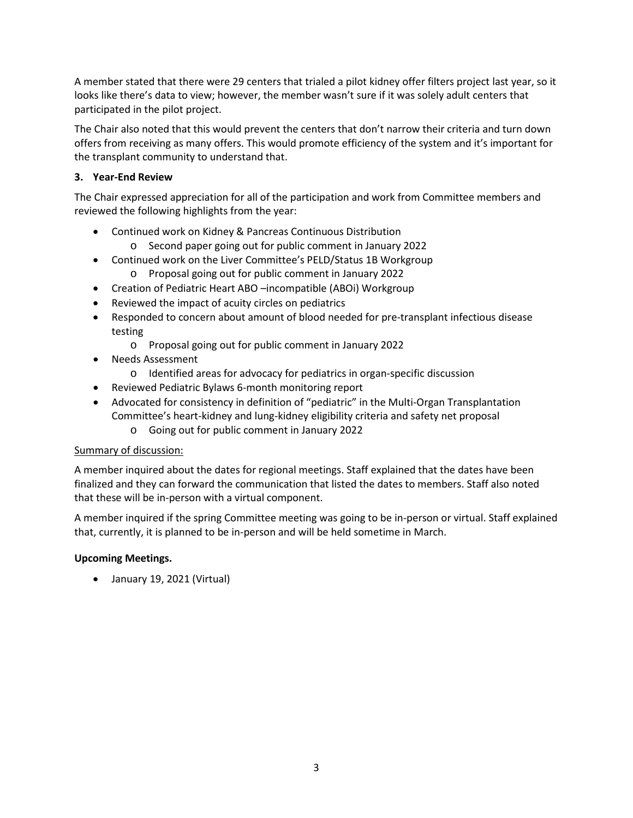A member stated that there were 29 centers that trialed a pilot kidney offer filters project last year, so it looks like there's data to view; however, the member wasn't sure if it was solely adult centers that participated in the pilot project.

The Chair also noted that this would prevent the centers that don't narrow their criteria and turn down offers from receiving as many offers. This would promote efficiency of the system and it's important for the transplant community to understand that.

# **3. Year-End Review**

The Chair expressed appreciation for all of the participation and work from Committee members and reviewed the following highlights from the year:

- Continued work on Kidney & Pancreas Continuous Distribution
	- o Second paper going out for public comment in January 2022
- Continued work on the Liver Committee's PELD/Status 1B Workgroup
	- o Proposal going out for public comment in January 2022
- Creation of Pediatric Heart ABO –incompatible (ABOi) Workgroup
- Reviewed the impact of acuity circles on pediatrics
- Responded to concern about amount of blood needed for pre-transplant infectious disease testing
	- o Proposal going out for public comment in January 2022
- Needs Assessment
	- o Identified areas for advocacy for pediatrics in organ-specific discussion
- Reviewed Pediatric Bylaws 6-month monitoring report
- Advocated for consistency in definition of "pediatric" in the Multi-Organ Transplantation Committee's heart-kidney and lung-kidney eligibility criteria and safety net proposal
	- o Going out for public comment in January 2022

# Summary of discussion:

A member inquired about the dates for regional meetings. Staff explained that the dates have been finalized and they can forward the communication that listed the dates to members. Staff also noted that these will be in-person with a virtual component.

A member inquired if the spring Committee meeting was going to be in-person or virtual. Staff explained that, currently, it is planned to be in-person and will be held sometime in March.

# **Upcoming Meetings.**

• January 19, 2021 (Virtual)